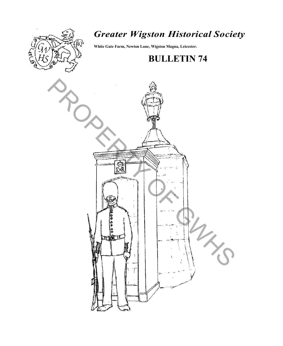

# *Greater Wigston Historical Society*

**White Gate Farm, Newton Lane, Wigston Magna, Leicester.**

# **BULLETIN 74**

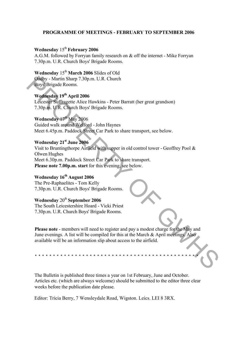## **PROGRAMME OF MEETINGS - FEBRUARY TO SEPTEMBER 2006**

## **Wednesday** 15<sup>th</sup> **February** 2006

A.G.M. followed by Forryan family research on & off the internet - Mike Forryan 7.30p.m. U.R. Church Boys' Brigade Rooms.

**Wednesday** 15<sup>th</sup> **March 2006** Slides of Old Oadby - Martin Sharp 7.30p.m. U.R. Church Boys' Brigade Rooms.

**Wednesday 19th April 2006** Leicester Suffragette Alice Hawkins - Peter Barratt (her great grandson) 7.30p.m. U.R. Church Boys' Brigade Rooms.

**Wednesday** 17th May 2006 Guided walk around Welford - John Haynes

Meet 6.45p.m. Paddock Street Car Park to share transport, see below.

## **Wednesday 21st June 2006**

Visit to Bruntingthorpe Airfield with supper in old control tower - Geoffrey Pool & Olwen Hughes Meet 6.30p.m. Paddock Street Car Park to share transport. **Please note 7.00p.m. start** for this evening, see below. Oadly - Martin Sharp 7.30p.m. U.R. Church<br>
Boys Brigade Rooms.<br>
Wednesday 19<sup>9</sup> April 2006<br>
Eelester Suffingette Alice Hawkins - Peter Barratt (her great grandson)<br>
7.30p.m. U.R. Church Boys Brigade Rooms.<br>
Wednesday 1<sup>48</sup>

# **Wednesday 16th August 2006**

The Pre-Raphaelites - Tom Kelly 7.30p.m. U.R. Church Boys' Brigade Rooms.

# Wednesday 20<sup>th</sup> September 2006

The South Leicestershire Hoard - Vicki Priest 7.30p.m. U.R. Church Boys' Brigade Rooms.

**Please note** - members will need to register and pay a modest charge for the May and June evenings. A list will be compiled for this at the March & April meetings. Also available will be an information slip about access to the airfield.

\* \* \* \* \* \* \* \* \* \* \* \* \* \* \* \* \* \* \* \* \* \* \* \* \* \* \* \* \* \* \* \* \* \* \* \* \* \* \* \* \* \* \* \* \*

The Bulletin is published three times a year on 1st February, June and October. Articles etc. (which are always welcome) should be submitted to the editor three clear weeks before the publication date please.

Editor: Tricia Berry, 7 Wensleydale Road, Wigston. Leics. LEI 8 3RX.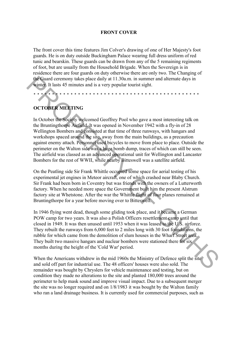#### **FRONT COVER**

The front cover this time features Jim Colver's drawing of one of Her Majesty's foot guards. He is on duty outside Buckingham Palace wearing full dress uniform of red tunic and bearskin. These guards can be drawn from any of the 5 remaining regiments of foot, but are usually from the Household Brigade. When the Sovereign is in residence there are four guards on duty otherwise there are only two. The Changing of the Guard ceremony takes place daily at 11.30a.m. in summer and alternate days in winter. It lasts 45 minutes and is a very popular tourist sight.

\* \* \* \* \* \* \* \* \* \* \* \* \* \* \* \* \* \* \* \* \* \* \* \* \* \* \* \* \* \* \* \* \* \* \* \* \* \* \* \* \* \* \* \* \*

# **OCTOBER MEETING**

In October the Society welcomed Geoffrey Pool who gave a most interesting talk on the Bruntingthorpe Airfield. It was opened in November 1942 with a fly-in of 28 Wellington Bombers and consisted at that time of three runways, with hangars and workshops spaced around the site, away from the main buildings, as a precaution against enemy attach. Personnel used bicycles to move from place to place. Outside the perimeter on the Walton side was a huge bomb dump, traces of which can still be seen. The airfield was classed as an advanced operational unit for Wellington and Lancaster Bombers for the rest of WWII, while nearby Bitteswell was a satellite airfield. the Guard ceremony takes place daily at 11.30a m. in summer and alternate days in<br>
whints 45 s minutes and is a very popular tourist sight.<br>
In October the Society welcomed Gooffrey Pool who gave a most interesting talk on

On the Peatling side Sir Frank Whittle occupied some space for aerial testing of his experimental jet engines in Meteor aircraft, one of which crashed near Blaby Church. Sir Frank had been born in Coventry but was friends with the owners of a Lutterworth factory. When he needed more space the Government built him the present Alstrum factory site at Whetstone. After the war the Whittle flight of four planes remained at Bruntingthorpe for a year before moving over to Bitteswell.

In 1946 flying went dead, though some gliding took place, and it became a German POW camp for two years. It was also a Polish Officers resettlement camp until that closed in 1949. It was then unused until 1953 when it was leased to the U.S. airforce. They rebuilt the runways from 6,000 feet to 2 miles long with 30 foot foundations, the rubble for which came from the demolition of slum houses in the Wharf Street area. They built two massive hangars and nuclear bombers were stationed there for six months during the height of the 'Cold War' period.

When the Americans withdrew in the mid 1960s the Ministry of Defence split the site and sold off part for industrial use. The 48 officers' houses were also sold. The remainder was bought by Chryslers for vehicle maintenance and testing, but on condition they made no alterations to the site and planted 180,000 trees around the perimeter to help mask sound and improve visual impact. Due to a subsequent merger the site was no longer required and on 1/8/1983 it was bought by the Walton family who ran a land drainage business. It is currently used for commercial purposes, such as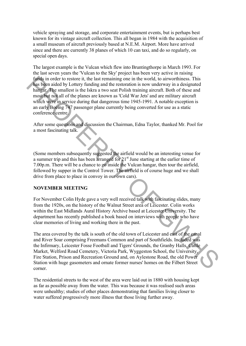vehicle spraying and storage, and corporate entertainment events, but is perhaps best known for its vintage aircraft collection. This all began in 1984 with the acquisition of a small museum of aircraft previously based at N.E.M. Airport. More have arrived since and there are currently 38 planes of which 10 can taxi, and do so regularly, on special open days.

The largest example is the Vulcan which flew into Bruntingthorpe in March 1993. For the last seven years the 'Vulcan to the Sky' project has been very active in raising funds in order to restore it, the last remaining one in the world, to airworthiness. This has been aided by Lottery funding and the restoration is now underway in a designated hangar. The smallest is the Iskra a two seat Polish training aircraft. Both of these and most but not all of the planes are known as 'Cold War Jets' and are military aircraft which were in service during that dangerous time 1945-1991. A notable exception is an early Boeing 747 passenger plane currently being converted for use as a static conference centre. finals in order to restroint the last remaining ones in the world, to ainvochiness. This<br>has been aided by I ottery funding and the restoration is now underway in a designated hanger. The smallest is the Iskra a two seat

After some questions and discussion the Chairman, Edna Taylor, thanked Mr. Pool for a most fascinating talk.

(Some members subsequently suggested the airfield would be an interesting venue for a summer trip and this has been arranged for 21<sup>st</sup> June starting at the earlier time of 7.00p.m. There will be a chance to go inside the Vulcan hangar, then tour the airfield, followed by supper in the Control Tower. The airfield is of course huge and we shall drive from place to place in convoy in our own cars).

### **NOVEMBER MEETING**

For November Colin Hyde gave a very well received talk with fascinating slides, many from the 1920s, on the history of the Walnut Street area of Leicester. Colin works within the East Midlands Aural History Archive based at Leicester University. The department has recently published a book based on interviews with people who have clear memories of living and working there in the past.

The area covered by the talk is south of the old town of Leicester and east of the canal and River Soar comprising Freemans Common and part of Southfields. Included was the Infirmary, Leicester Fosse Football and Tigers' Grounds, the Granby Halls, Cattle Market, Welford Road Cemetery, Victoria Park, Wyggeston School, the University, Fire Station, Prison and Recreation Ground and, on Aylestone Road, the old Power Station with huge gasometers and ornate former nurses' homes on the Filbert Street corner.

The residential streets to the west of the area were laid out in 1880 with housing kept as far as possible away from the water. This was because it was realised such areas were unhealthy; studies of other places demonstrating that families living closer to water suffered progressively more illness that those living further away.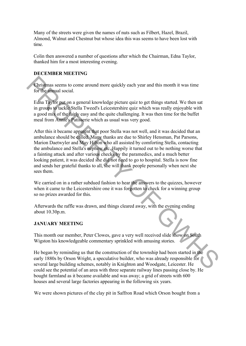Many of the streets were given the names of nuts such as Filbert, Hazel, Brazil, Almond, Walnut and Chestnut but whose idea this was seems to have been lost with time.

Colin then answered a number of questions after which the Chairman, Edna Taylor, thanked him for a most interesting evening.

## **DECEMBER MEETING**

Christmas seems to come around more quickly each year and this month it was time for the annual social.

Edna Taylor put on a general knowledge picture quiz to get things started. We then sat in groups to tackle Stella Tweed's Leicestershire quiz which was really enjoyable with a good mix of the fairly easy and the quite challenging. It was then time for the buffet meal from Annie's Patisserie which as usual was very good.

After this it became apparent that poor Stella was not well, and it was decided that an ambulance should be called. Many thanks are due to Shirley Hensman, Pat Parsons, Marion Daetwyler and May Hilton who all assisted by comforting Stella, contacting the ambulance and Stella's nephew etc. Happily it turned out to be nothing worse that a fainting attack and after various checks by the paramedics, and a much better looking patient, it was decided she did not need to go to hospital. Stella is now fine and sends her grateful thanks to all, she will thank people personally when next she sees them. Christmas seems to come around more quickly each year and this month it was time<br>for the around social.<br>Edna Taylor put on a general knowledge picture quiz to get things started. We then sat<br>in groups of track Stella Twee

We carried on in a rather subdued fashion to hear the answers to the quizzes, however when it came to the Leicestershire one it was forgotten to check for a winning group so no prizes awarded for this.

Afterwards the raffle was drawn, and things cleared away, with the evening ending about 10.30p.m.

### **JANUARY MEETING**

This month our member, Peter Clowes, gave a very well received slide show on South Wigston his knowledgeable commentary sprinkled with amusing stories.

He began by reminding us that the construction of the township had been started in the early 1880s by Orson Wright, a speculative builder, who was already responsible for several large building schemes, notably in Knighton and Woodgate, Leicester. He could see the potential of an area with three separate railway lines passing close by. He bought farmland as it became available and was away; a grid of streets with 600 houses and several large factories appearing in the following six years.

We were shown pictures of the clay pit in Saffron Road which Orson bought from a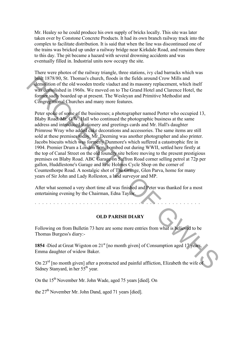Mr. Healey so he could produce his own supply of bricks locally. This site was later taken over by Constone Concrete Products. It had its own branch railway track into the complex to facilitate distribution. It is said that when the line was discontinued one of the trains was bricked up under a railway bridge near Kirkdale Road, and remains there to this day. The pit became a hazard with several drowning accidents and was eventually filled in. Industrial units now occupy the site.

There were photos of the railway triangle, three stations, ivy clad barracks which was built 1878/80, St. Thomas's church, floods in the fields around Crow Mills and demolition of the old wooden trestle viaduct and its masonry replacement, which itself was demolished in 1960s. We moved on to The Grand Hotel and Clarence Hotel, the former sadly boarded up at present. The Wesleyan and Primitive Methodist and Congregational Churches and many more features.

Peter spoke of some of the businesses; a photographer named Porter who occupied 13, Blaby Road. Mr. G.W. Hall who continued the photographic business at the same address and introduced stationery and greetings cards and Mr. Hall's daughter Primrose Wray who added cake decorations and accessories. The same items are still sold at these premises today. Mr. Deeming was another photographer and also printer. Jacobs biscuits which was formerly Dunmore's which suffered a catastrophic fire in 1904. Premier Drum a London firm, bombed out during WWII, settled here firstly at the top of Canal Street on the old foundry site before moving to the present prestigious premises on Blaby Road. ABC Garage on Saffron Road corner selling petrol at 72p per gallon, Huddlestone's Garage and Eric Holmes Cycle Shop on the corner of Countesthorpe Road. A nostalgic shot of The Grange, Glen Parva, home for many years of Sir John and Lady Rolleston, a land surveyor and MP. bij (187880, St. Thomas's church, floods in the fields around Crow Mills and<br>tradition of the old wooden trestle via due tant its measury replacement, which itself<br>was deprolished in 1960s. We moved on to The Grand Hotel

After what seemed a very short time all was finished and Peter was thanked for a most entertaining evening by the Chairman, Edna Taylor.

**OLD PARISH DIARY**

Following on from Bulletin 73 here are some more entries from what is believed to be Thomas Burgess's diary:-

**1854** -Died at Great Wigston on 21<sup>st</sup> [no month given] of Consumption aged 17 years, Emma daughter of widow Baker.

On 23rd [no month given] after a protracted and painful affliction, Elizabeth the wife of Sidney Stanyard, in her 55<sup>th</sup> year.

On the 15<sup>th</sup> November Mr. John Wade, aged 75 years [died]. On

the  $27<sup>th</sup>$  November Mr. John Dand, aged 71 years [died].

\* \* \* \* \* \* \* \* \* \* \* \* \* \* \* \* \* \* \* \* \* \* \* \* \* \* \* \* \* \* \* \* \* \* \* \* \* \* \* \* \* \* \* \* \*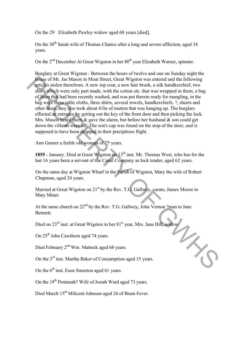On the 29 Elizabeth Pawley widow aged 68 years [died].

On the  $30<sup>th</sup>$  Sarah wife of Thomas Chance after a long and severe affliction, aged 34 years.

On the  $2<sup>nd</sup>$  December At Great Wigston in her  $80<sup>th</sup>$  year Elizabeth Warner, spinster.

Burglary at Great Wigston - Between the hours of twelve and one on Sunday night the house of Mr. Jas Mason in Moat Street, Great Wigston was entered and the following articles stolen therefrom. A new top coat, a new hair brush, a silk handkerchief, two shirts which were only part made, with the cotton etc. that was wrapped in them, a bag of linen that had been recently washed, and was put therein ready for mangling, in the bag were three table cloths, three shirts, several towels, handkerchiefs, ?, sheets and other linen, they also took about 41bs of mutton that was hanging up. The burglars effected an entrance by getting out the key of the front door and then picking the lock. Mrs. Mason heard them  $\&$  gave the alarm, but before her husband  $\&$  son could get down the villains were off. The son's cap was found on the stop of the door, and is supposed to have been dropped in their precipitous flight. **From EXECUTE AND MONDUM SET AND MONDUM SET AND MONDUM SET AND THE STRIP AND STRIP STRIP AND A HEV to pocat, a new hair brusts of the price of the strip was stricted and the influential of the strip was of the strip was o** 

Ann Garner a feeble old woman of 75 years.

1855 - January. Died at Great Wigston on 13<sup>th</sup> inst. Mr. Thomas West, who has for the last 16 years been a servant of the Canal Company as lock tender, aged 62 years.

On the same day at Wigston Wharf in the Parish of Wigston, Mary the wife of Robert Chapman, aged 24 years.

Married at Great Wigston on  $21<sup>st</sup>$  by the Rev. T.G. Gallwey, curate, James Moore to Mary Miner.

At the same church on  $22<sup>nd</sup>$  by the Rev. T.G. Gallwey, John Vernon ?man to Jane Bennett.

Died on 23<sup>rd</sup> inst. at Great Wigston in her 81<sup>st</sup> year, Mrs. Jane Hill, widow.<br>On 25<sup>th</sup> John Cawthom aged 74 years.<br><sup>And</sup> W<sub>m</sub> Mattock aged 68 years.

On 25<sup>th</sup> John Cawthom aged 74 years.

Died February 2<sup>nd</sup> Wm. Mattock aged 68 years.

On the 3<sup>rd</sup> inst. Martha Baker of Consumption aged 15 years.

On the  $6<sup>th</sup>$  inst. Eson Smeeton aged 61 years.

On the  $19<sup>th</sup>$  Peninnah? Wife of Josiah Ward aged 73 years.

Died March 15<sup>th</sup> Milicent Johnson aged 26 of Brain Fever.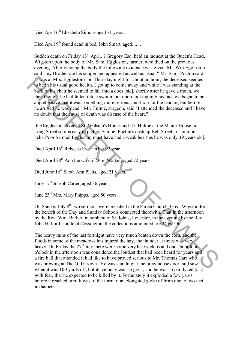Died April 6<sup>th</sup> Elizabeth Simons aged 71 years.

Died April 9<sup>th</sup> found dead in bed, John Smart, aged.......

Sudden death on Friday 13<sup>th</sup> April. ? Gregory Esq. held an inquest at the Queen's Head, Wigston upon the body of Mr. Saml Eggleston, farmer, who died on the previous evening. After viewing the body the following evidence was given. Mr. Wm Eggleston said "my Brother ate his supper and appeared as well as usual." Mr. Saml Pochin said "I was at Mrs. Eggleston's on Thursday night for about an hour, the deceased seemed to be in his usual good health. I got up to come away and while I was standing at the back of his chair he seemed to fall into a does [sic], shortly after he gave a moan, we then thought he had fallen into a swoon, but upon looking into his face we began to be apprehensive that it was something more serious, and I ran for the Doctor, but before he arrived he was dead." Mr. Hulme, surgeon, said "I attended the deceased and I have no doubt that the cause of death was disease of the heart." "I' was at Mrs. Eggleston's on Thursday night for about an hour, the deceased seemed<br>
we he his usual good health. I got up to come away and while I was standing at the<br>
best of this chain he samed to fall into a does [si

[the Egglestons lived at St. Wolstan's House and Dr. Hulme at the Manor House in Long Street so it is easy to picture Samuel Pochin's dash up Bell Street to summon help. Poor Samuel Eggleston must have had a weak heart as he was only 39 years old].

Died April 16<sup>th</sup> Rebecca Freer in her 92 year.

Died April 28<sup>th</sup> Ann the wife of Wm. Walker, aged 72 years.

Died June 16<sup>th</sup> Sarah Ann Platts, aged 21 years.

June  $17<sup>th</sup>$  Joseph Carter, aged 36 years.

June 23rd Mrs. Mary Phipps, aged 80 years.

On Sunday July 8<sup>th</sup> two sermons were preached in the Parish Church, Great Wigston for the benefit of the Day and Sunday Schools connected therewith. That in the afternoon by the Rev. Wm. Barber, incumbent of St. Johns, Leicester, in the evening by the Rev. John Halford, curate of Cossington, the collections amounted to £24 6s. Od

The heavy rains of the last fortnight have very much beaten down the corn, and the floods in some of the meadows has injured the hay, the thunder at times was very heavy. On Friday the  $27<sup>th</sup>$  July there were some very heavy claps and one about four o'clock in the afternoon was considered the loudest that had been heard for years and a fire ball that attended it had like to have proved serious to Mr. Thomas Carr who was brewing at The Old Crown . He was standing at the brew house door, and saw it when it was 100 yards off, but its velocity was so great, and he was so paralyzed [sic] with fear, that he expected to be killed by it. Fortunately it exploded a few yards before it reached him. It was of the form of an elongated globe of from one to two feet in diameter.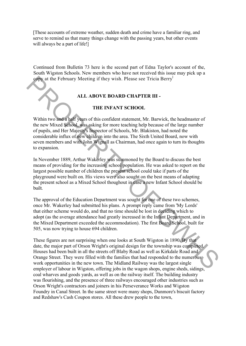[These accounts of extreme weather, sudden death and crime have a familiar ring, and serve to remind us that many things change with the passing years, but other events will always be a part of life!

Continued from Bulletin 73 here is the second part of Edna Taylor's account of the, South Wigston Schools. New members who have not received this issue may pick up a copy at the February Meeting if they wish. Please see Tricia Berry<sup>l</sup>

## **ALL ABOVE BOARD CHAPTER III -**

### **THE INFANT SCHOOL**

Within two and a half years of this confident statement, Mr. Barwick, the headmaster of the new Mixed School, was asking for more teaching help because of the large number of pupils, and Her Majesty's Inspector of Schools, Mr. Blakiston, had noted the considerable influx of new children into the area. The Sixth United Board, now with seven members and with John Wignall as Chairman, had once again to turn its thoughts to expansion. **Example 18 And Solution** If they wish. Please see Tricia Berry<br> **ALL ABOVE BOARD CHAPTER III** -<br> **THE INFANT SCHOOL**<br>
Within two marked starting they sus of this confident statement, Mr. Barwick, the headmaster of<br>
or pup

In November 1889, Arthur Wakerley was summoned by the Board to discuss the best means of providing for the increasing school population. He was asked to report on the largest possible number of children the present school could take if parts of the playground were built on. His views were also sought on the best means of adapting the present school as a Mixed School thoughout in case a new Infant School should be built.

The approval of the Education Department was sought for one of these two schemes, once Mr. Wakerley had submitted his plans. A prompt reply came from 'My Lords' that either scheme would do, and that no time should be lost in deciding which to adopt (as the average attendance had greatly increased in the Infant Department, and in the Mixed Department exceeded the accommodation). The first Board School, built for 505, was now trying to house 694 children.

These figures are not surprising when one looks at South Wigston in 1890. By that date, the major part of Orson Wright's original design for the township was completed. Houses had been built in all the streets off Blaby Road as well as Kirkdale Road and Orange Street. They were filled with the families that had responded to the numerous work opportunities in the new town. The Midland Railway was the largest single employer of labour in Wigston, offering jobs in the wagon shops, engine sheds, sidings, coal wharves and goods yards, as well as on the railway itself. The building industry was flourishing, and the presence of three railways encouraged other industries such as Orson Wright's contractors and joiners in his Perseverance Works and Wigston Foundry in Canal Street. In the same street were many shops, Dunmore's biscuit factory and Redshaw's Cash Coupon stores. All these drew people to the town,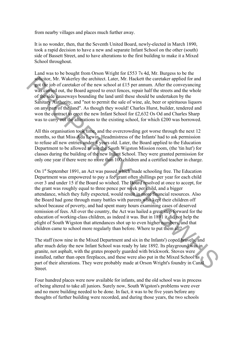from nearby villages and places much further away.

It is no wonder, then, that the Seventh United Board, newly-elected in March 1890, took a rapid decision to have a new and separate Infant School on the other (south) side of Bassett Street, and to have alterations to the first building to make it a Mixed School throughout.

Land was to be bought from Orson Wright for £553 7s 4d, Mr. Burgess to be the solicitor, Mr. Wakerley the architect. Later, Mr. Hackett the caretaker applied for and got the job of caretaker of the new school at £15 per annum. After the conveyancing was carried out, the Board agreed to erect fences, repair half the streets and the whole of the side causeways bounding the land until these should be undertaken by the Sanitary Authority, and "not to permit the sale of wine, ale, beer or spirituous liquors on any part of the land". As though they would! Charles Hurst, builder, tendered and won the contract to erect the new Infant School for  $\text{\pounds}2,632$  Os Od and Charles Sharp was to carry out the alterations to the existing school, for which £200 was borrowed.

All this organisation took time, and the overcrowding got worse through the next 12 months, so that Miss Ada Lewin, Headmistress of the Infants' had to ask permission to refuse all new entries under 4 years old. Later, the Board applied to the Education Department to be allowed to use the South Wigston Mission room, (the 'tin hut') for classes during the building of the new Infant School. They were granted permission for only one year if there were no more than 100 children and a certified teacher in charge.

On 1<sup>st</sup> September 1891, an Act was passed which made schooling free. The Education Department was empowered to pay a fee grant often shillings per year for each child over 3 and under 15 if the Board so wished. The Board resolved at once to accept, for the grant was roughly equal to three pence per week per child, and a bigger attendance, which they fully expected, would result in more financial resources. Also the Board had gone through many battles with parents who kept their children off school because of poverty, and had spent many hours examining cases of deserved remission of fees. All over the country, the Act was hailed a great step forward for the education of working-class children, as indeed it was. But in 1891 it did not help the plight of South Wigston that attendances shot up to even higher numbers, and that children came to school more regularly than before. Where to put them all? solution, MY. Wakerly the architect. Later, MY. Hackett the caracter applied for and<br>yelt the job of carculacter of the new school at £15 pcr amum. After the care<br>according was carried out, the Board agreed to erect fence

The staff (now nine in the Mixed Department and six in the Infants') coped bravely, and after much delay the new Infant School was ready by late 1892. Its playground was in granite, not asphalt, with the grates properly guarded with brickwork. Stoves were installed, rather than open fireplaces, and these were also put in the Mixed School as part of their alterations. They were probably made at Orson Wright's foundry in Canal Street.

Four hundred places were now available for infants, and the old school was in process of being altered to take all juniors. Surely now, South Wigston's problems were over and no more building needed to be done. In fact, it was to be five years before any thoughts of further building were recorded, and during those years, the two schools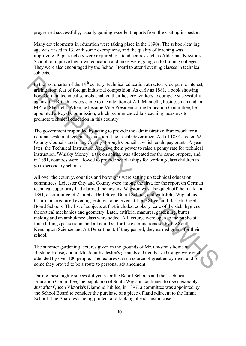progressed successfully, usually gaining excellent reports from the visiting inspector.

Many developments in education were taking place in the 1890s. The school-leaving age was raised to 13, with some exemptions, and the quality of teaching was improving. Pupil teachers were required to attend centres such as Alderman Newton's School to improve their own education and more were going on to training colleges. They were also encouraged by the School Board to attend evening classes in technical subjects.

In the last quarter of the  $19<sup>th</sup>$  century, technical education attracted wide public interest, arising from fear of foreign industrial competition. As early as 1881, a book showing how German technical schools enabled their hosiery workers to compete successfully against the British hosiers came to the attention of A.J. Mundella, businessman and an MP for Sheffield. When he became Vice-President of the Education Committee, he appointed a Royal Commission, which recommended far-reaching measures to promote technical education in this country.

The government responded by acting to provide the administrative framework for a national system of technical education. The Local Government Act of 1888 created 62 County Councils and many County Borough Councils., which could pay grants. A year later, the Technical Instruction Act gave them power to raise a penny rate for technical instruction. 'Whisky Money', a tax on spirits, was allocated for the same purpose, and in 1891, counties were allowed to provide scholarships for working-class children to go to secondary schools.

All over the country, counties and boroughs were setting up technical education committees. Leicester City and County were among the first, for the report on German technical superiority had alarmed the hosiers. Wigston was also quick off the mark. In 1891, a committee of 25 met at Bell Street Board School, and with John Wignall as Chairman organised evening lectures to be given at Long Street and Bassett Street Board Schools. The list of subjects at first included cookery, care of the sick, hygiene, theoretical mechanics and geometry. Later, artificial manures, gardening, butter making and an ambulance class were added. All lectures were open to the public at four shillings per session, and all could sit for the examinations set by the South Kensington Science and Art Department. If they passed, they earned grants for their school. In the last quarter of the 19<sup>th</sup> century, technical education attracted wide public interest, arising from fear of freeign industrial competition. As early as 1881, a hook showing hougher and for freeign industrial conoi

The summer gardening lectures given in the grounds of Mr. Owston's home at Bushloe House, and in Mr. John Rolleston's grounds at Glen Parva Grange were each attended by over 100 people. The lectures were a source of great enjoyment, and for some they proved to be a route to personal advancement.

During these highly successful years for the Board Schools and the Technical Education Committee, the population of South Wigston continued to rise inexorably. Just after Queen Victoria's Diamond Jubilee, in 1897, a committee was appointed by the School Board to consider the purchase of a piece of land adjacent to the Infant School. The Board was being prudent and looking ahead. Just in case....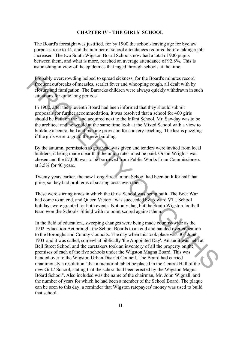#### **CHAPTER IV - THE GIRLS' SCHOOL**

The Board's foresight was justified, for by 1900 the school-leaving age for byelaw purposes rose to 14, and the number of school attendances required before taking a job increased. The two South Wigston Board Schools now had a total of 900 pupils between them, and what is more, reached an average attendance of 92.8%. This is astonishing in view of the epidemics that raged through schools at the time.

Probably overcrowding helped to spread sickness, for the Board's minutes record frequent outbreaks of measles, scarlet fever and whooping cough, all dealt with by closure and fumigation. The Barracks children were always quickly withdrawn in such situations for quite long periods.

In 1902, after the Eleventh Board had been informed that they should submit proposals for further accommodation, it was resolved that a school for 400 girls should be built on the land acquired next to the Infant School. Mr. Sawday was to be the architect and he would at the same time look at the Mixed School with a view to building a central hall and making provision for cookery teaching. The last is puzzling if the girls were to go to the new building.

By the autumn, permission to go ahead was given and tenders were invited from local builders, it being made clear that the union rates must be paid. Orson Wright's was chosen and the £7,000 was to be borrowed from Public Works Loan Commissioners at 3.5% for 40 years.

Twenty years earlier, the new Long Street Infant School had been built for half that price, so they had problems of soaring costs even then.

These were stirring times in which the Girls' School was being built. The Boer War had come to an end, and Queen Victoria was succeeded by Edward VTI. School holidays were granted for both events. Not only that, but the South Wigston football team won the Schools' Shield with no point scored against them.

In the field of education., sweeping changes were being made country-wide as the 1902 Education Act brought the School Boards to an end and handed over education to the Boroughs and County Councils. The day when this took place was  $30<sup>th</sup>$  June 1903 and it was called, somewhat biblically 'the Appointed Day'. An audit was held at Bell Street School and the caretakers took an inventory of all the property on the premises of each of the five schools under the Wigston Magna Board. This was handed over to the Wigston Urban District Council. The Board had carried unanimously a resolution "that a memorial tablet be placed in the Central Hall of the new Girls' School, stating that the school had been erected by the Wigston Magna Board School". Also included was the name of the chairman, Mr. John Wignall, and the number of years for which he had been a member of the School Board. The plaque can be seen to this day, a reminder that Wigston ratepayers' money was used to build that school. Procedular properation in the plead is chead sickets. For the Board's minutes record<br>
Figuret outlined furnigation. The Barracks chard wholoning eough, all dealt with by<br>
cleared furnigation. The Barracks children were al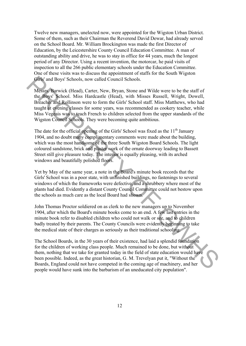Twelve new managers, unelected now, were appointed for the Wigston Urban District. Some of them, such as their Chairman the Reverend David Dewar, had already served on the School Board. Mr. William Brockington was made the first Director of Education, by the Leicestershire County Council Education Committee. A man of outstanding ability and drive, he was to stay in office for 44 years, much the longest period of any Director. Using a recent invention, the motorcar, he paid visits of inspection to all the 266 public elementary schools under the Education Committee. One of these visits was to discuss the appointment of staffs for the South Wigston Girls' and Boys' Schools, now called Council Schools.

Messrs. Barwick (Head), Carter, New, Bryan, Stone and Wilde were to be the staff of the Boys' School. Miss Hardcastle (Head), with Misses Russell, Wright, Dowell, Breacher and Rollinson were to form the Girls' School staff. Miss Matthews, who had taught at evening classes for some years, was recommended as cookery teacher, while Miss Vegeais was to teach French to children selected from the upper standards of the Wigston Council Schools. They were becoming quite ambitious. Girls' and Boys' Schools, now called Council Schools.<br>
Messige Barwick (Head), Carter, New, Bryan, Stonc and Wilde were to be the staff of<br>
the Boys' School. Mass Hardcastic (Head), with Misson Kussell, Wright, Dowell,<br>
t

The date for the official opening of the Girls' School was fixed as the  $11<sup>th</sup>$  January 1904, and no doubt many complimentary comments were made about the building, which was the most handsome of the three South Wigston Board Schools. The light coloured sandstone, brick and plaster work of the ornate doorway leading to Bassett Street still give pleasure today. The interior is equally pleasing, with its arched windows and beautifully polished floors.

Yet by May of the same year, a note in the Board's minute book records that the Girls' School was in a poor state, with unfinished buildings, no fastenings to several windows of which the frameworks were defective, and a shrubbery where most of the plants had died. Evidently a distant County Council Committee could not bestow upon the schools as much care as the local Board had shown.

John Thomas Proctor soldiered on as clerk to the new managers up to November 1904, after which the Board's minute books come to an end. A few last entries in the minute book refer to disabled children who could not walk or see, and to children badly treated by their parents. The County Councils were evidently beginning to take the medical state of their charges as seriously as their traditional schooling.

The School Boards, in the 30 years of their existence, had laid a splendid foundation for the children of working class people. Much remained to be done, but without them, nothing that we take for granted today in the field of state education would have been possible. Indeed, as the great historian, G. M. Trevelyan put it, "Without the Boards, England could not have competed in the coming age of machinery, and her people would have sunk into the barbarism of an uneducated city population".